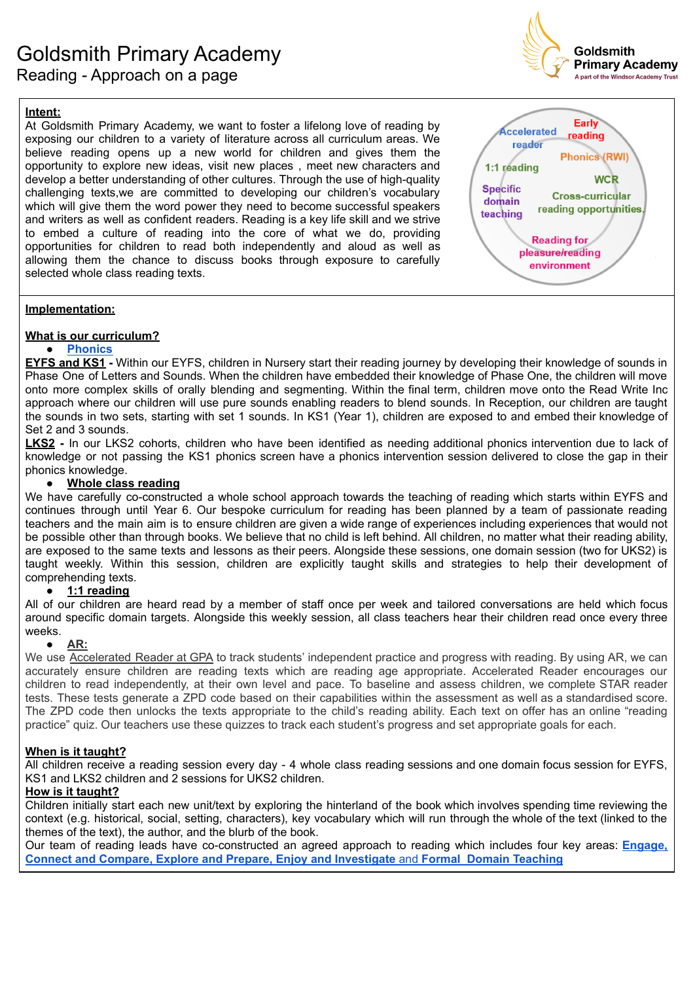

# **Intent:**

At Goldsmith Primary Academy, we want to foster a lifelong love of reading by exposing our children to a variety of literature across all curriculum areas. We believe reading opens up a new world for children and gives them the opportunity to explore new ideas, visit new places , meet new characters and develop a better understanding of other cultures. Through the use of high-quality challenging texts,we are committed to developing our children's vocabulary which will give them the word power they need to become successful speakers and writers as well as confident readers. Reading is a key life skill and we strive to embed a culture of reading into the core of what we do, providing opportunities for children to read both independently and aloud as well as allowing them the chance to discuss books through exposure to carefully selected whole class reading texts.



# **Implementation:**

# **What is our curriculum?**

# **● [Phonics](https://docs.google.com/document/u/2/d/1t2zhbPnUc8xlcSFHOi0Ox5EwB8JDRGcDo9VG7xPZnLE/edit)**

**EYFS and KS1 -** Within our EYFS, children in Nursery start their reading journey by developing their knowledge of sounds in Phase One of Letters and Sounds. When the children have embedded their knowledge of Phase One, the children will move onto more complex skills of orally blending and segmenting. Within the final term, children move onto the Read Write Inc approach where our children will use pure sounds enabling readers to blend sounds. In Reception, our children are taught the sounds in two sets, starting with set 1 sounds. In KS1 (Year 1), children are exposed to and embed their knowledge of Set 2 and 3 sounds.

**LKS2 -** In our LKS2 cohorts, children who have been identified as needing additional phonics intervention due to lack of knowledge or not passing the KS1 phonics screen have a phonics intervention session delivered to close the gap in their phonics knowledge.

#### **● Whole class reading**

We have carefully co-constructed a whole school approach towards the teaching of reading which starts within EYFS and continues through until Year 6. Our bespoke curriculum for reading has been planned by a team of passionate reading teachers and the main aim is to ensure children are given a wide range of experiences including experiences that would not be possible other than through books. We believe that no child is left behind. All children, no matter what their reading ability, are exposed to the same texts and lessons as their peers. Alongside these sessions, one domain session (two for UKS2) is taught weekly. Within this session, children are explicitly taught skills and strategies to help their development of comprehending texts.

# **● 1:1 reading**

All of our children are heard read by a member of staff once per week and tailored conversations are held which focus around specific domain targets. Alongside this weekly session, all class teachers hear their children read once every three weeks.

# **● [AR:](https://docs.google.com/document/d/1bxpcoNwUqIK2Tivgi8zvVsp1uONkHb067XmIUZ4_zdo/edit)**

We use [Accelerated](https://docs.google.com/document/d/1bxpcoNwUqIK2Tivgi8zvVsp1uONkHb067XmIUZ4_zdo/edit) Reader at GPA to track students' independent practice and progress with reading. By using AR, we can accurately ensure children are reading texts which are reading age appropriate. Accelerated Reader encourages our children to read independently, at their own level and pace. To baseline and assess children, we complete STAR reader tests. These tests generate a ZPD code based on their capabilities within the assessment as well as a standardised score. The ZPD code then unlocks the texts appropriate to the child's reading ability. Each text on offer has an online "reading practice" quiz. Our teachers use these quizzes to track each student's progress and set appropriate goals for each.

# **When is it taught?**

All children receive a reading session every day - 4 whole class reading sessions and one domain focus session for EYFS, KS1 and LKS2 children and 2 sessions for UKS2 children.

# **How is it taught?**

Children initially start each new unit/text by exploring the hinterland of the book which involves spending time reviewing the context (e.g. historical, social, setting, characters), key vocabulary which will run through the whole of the text (linked to the themes of the text), the author, and the blurb of the book.

Our team of reading leads have co-constructed an agreed approach to reading which includes four key areas: **[Engage,](https://docs.google.com/document/d/1fR-2xwGzZtbpqZsDx9lpqFF4yu-2qbAfXp9lQtizqMQ/edit) Connect and Compare, Explore and Prepare, Enjoy and [Investigate](https://docs.google.com/document/d/1fR-2xwGzZtbpqZsDx9lpqFF4yu-2qbAfXp9lQtizqMQ/edit)** and **Formal Domain Teaching**